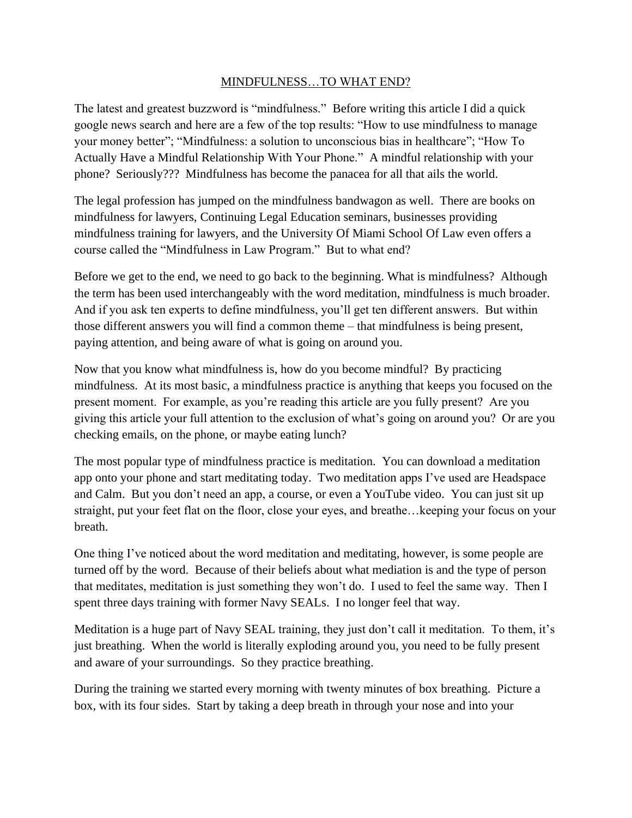## MINDFULNESS…TO WHAT END?

The latest and greatest buzzword is "mindfulness." Before writing this article I did a quick google news search and here are a few of the top results: "How to use mindfulness to manage your money better"; "Mindfulness: a solution to unconscious bias in healthcare"; "How To Actually Have a Mindful Relationship With Your Phone." A mindful relationship with your phone? Seriously??? Mindfulness has become the panacea for all that ails the world.

The legal profession has jumped on the mindfulness bandwagon as well. There are books on mindfulness for lawyers, Continuing Legal Education seminars, businesses providing mindfulness training for lawyers, and the University Of Miami School Of Law even offers a course called the "Mindfulness in Law Program." But to what end?

Before we get to the end, we need to go back to the beginning. What is mindfulness? Although the term has been used interchangeably with the word meditation, mindfulness is much broader. And if you ask ten experts to define mindfulness, you'll get ten different answers. But within those different answers you will find a common theme – that mindfulness is being present, paying attention, and being aware of what is going on around you.

Now that you know what mindfulness is, how do you become mindful? By practicing mindfulness. At its most basic, a mindfulness practice is anything that keeps you focused on the present moment. For example, as you're reading this article are you fully present? Are you giving this article your full attention to the exclusion of what's going on around you? Or are you checking emails, on the phone, or maybe eating lunch?

The most popular type of mindfulness practice is meditation. You can download a meditation app onto your phone and start meditating today. Two meditation apps I've used are Headspace and Calm. But you don't need an app, a course, or even a YouTube video. You can just sit up straight, put your feet flat on the floor, close your eyes, and breathe…keeping your focus on your breath.

One thing I've noticed about the word meditation and meditating, however, is some people are turned off by the word. Because of their beliefs about what mediation is and the type of person that meditates, meditation is just something they won't do. I used to feel the same way. Then I spent three days training with former Navy SEALs. I no longer feel that way.

Meditation is a huge part of Navy SEAL training, they just don't call it meditation. To them, it's just breathing. When the world is literally exploding around you, you need to be fully present and aware of your surroundings. So they practice breathing.

During the training we started every morning with twenty minutes of box breathing. Picture a box, with its four sides. Start by taking a deep breath in through your nose and into your